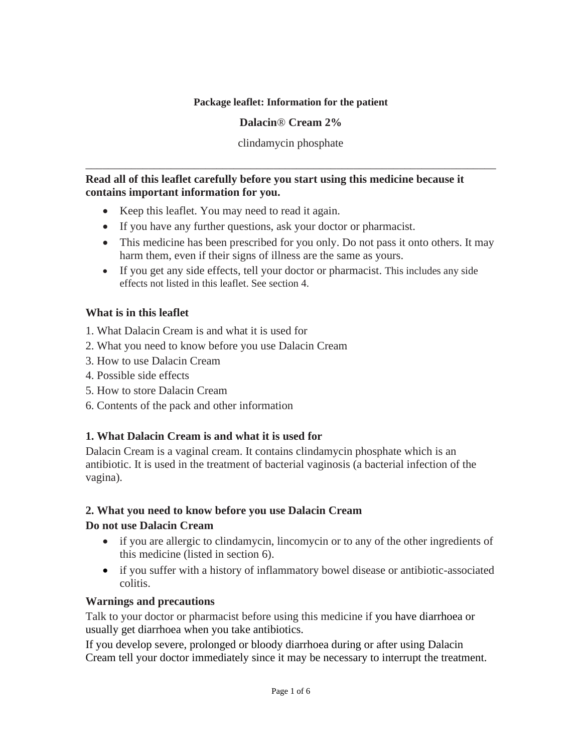### **Package leaflet: Information for the patient**

#### **Dalacin**® **Cream 2%**

clindamycin phosphate

\_\_\_\_\_\_\_\_\_\_\_\_\_\_\_\_\_\_\_\_\_\_\_\_\_\_\_\_\_\_\_\_\_\_\_\_\_\_\_\_\_\_\_\_\_\_\_\_\_\_\_\_\_\_\_\_\_\_\_\_\_\_\_\_\_\_\_\_\_\_\_\_

#### **Read all of this leaflet carefully before you start using this medicine because it contains important information for you.**

- Keep this leaflet. You may need to read it again.
- If you have any further questions, ask your doctor or pharmacist.
- This medicine has been prescribed for you only. Do not pass it onto others. It may harm them, even if their signs of illness are the same as yours.
- If you get any side effects, tell your doctor or pharmacist. This includes any side effects not listed in this leaflet. See section 4.

### **What is in this leaflet**

- 1. What Dalacin Cream is and what it is used for
- 2. What you need to know before you use Dalacin Cream
- 3. How to use Dalacin Cream
- 4. Possible side effects
- 5. How to store Dalacin Cream
- 6. Contents of the pack and other information

# **1. What Dalacin Cream is and what it is used for**

Dalacin Cream is a vaginal cream. It contains clindamycin phosphate which is an antibiotic. It is used in the treatment of bacterial vaginosis (a bacterial infection of the vagina).

### **2. What you need to know before you use Dalacin Cream**

### **Do not use Dalacin Cream**

- if you are allergic to clindamycin, lincomycin or to any of the other ingredients of this medicine (listed in section 6).
- if you suffer with a history of inflammatory bowel disease or antibiotic-associated colitis.

### **Warnings and precautions**

Talk to your doctor or pharmacist before using this medicine if you have diarrhoea or usually get diarrhoea when you take antibiotics.

If you develop severe, prolonged or bloody diarrhoea during or after using Dalacin Cream tell your doctor immediately since it may be necessary to interrupt the treatment.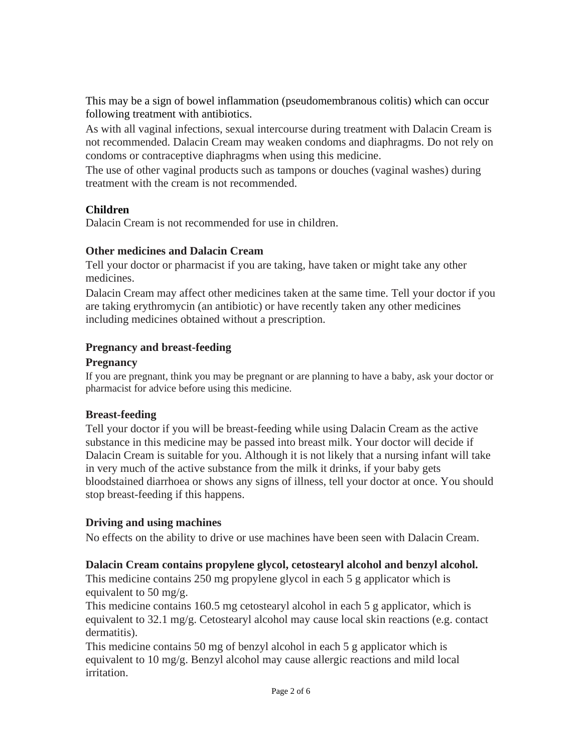This may be a sign of bowel inflammation (pseudomembranous colitis) which can occur following treatment with antibiotics.

As with all vaginal infections, sexual intercourse during treatment with Dalacin Cream is not recommended. Dalacin Cream may weaken condoms and diaphragms. Do not rely on condoms or contraceptive diaphragms when using this medicine.

The use of other vaginal products such as tampons or douches (vaginal washes) during treatment with the cream is not recommended.

# **Children**

Dalacin Cream is not recommended for use in children.

# **Other medicines and Dalacin Cream**

Tell your doctor or pharmacist if you are taking, have taken or might take any other medicines.

Dalacin Cream may affect other medicines taken at the same time. Tell your doctor if you are taking erythromycin (an antibiotic) or have recently taken any other medicines including medicines obtained without a prescription.

# **Pregnancy and breast-feeding**

### **Pregnancy**

If you are pregnant, think you may be pregnant or are planning to have a baby, ask your doctor or pharmacist for advice before using this medicine.

# **Breast-feeding**

Tell your doctor if you will be breast-feeding while using Dalacin Cream as the active substance in this medicine may be passed into breast milk. Your doctor will decide if Dalacin Cream is suitable for you. Although it is not likely that a nursing infant will take in very much of the active substance from the milk it drinks, if your baby gets bloodstained diarrhoea or shows any signs of illness, tell your doctor at once. You should stop breast-feeding if this happens.

# **Driving and using machines**

No effects on the ability to drive or use machines have been seen with Dalacin Cream.

# **Dalacin Cream contains propylene glycol, cetostearyl alcohol and benzyl alcohol.**

This medicine contains 250 mg propylene glycol in each 5 g applicator which is equivalent to 50 mg/g.

This medicine contains 160.5 mg cetostearyl alcohol in each 5 g applicator, which is equivalent to 32.1 mg/g. Cetostearyl alcohol may cause local skin reactions (e.g. contact dermatitis).

This medicine contains 50 mg of benzyl alcohol in each 5 g applicator which is equivalent to 10 mg/g. Benzyl alcohol may cause allergic reactions and mild local irritation.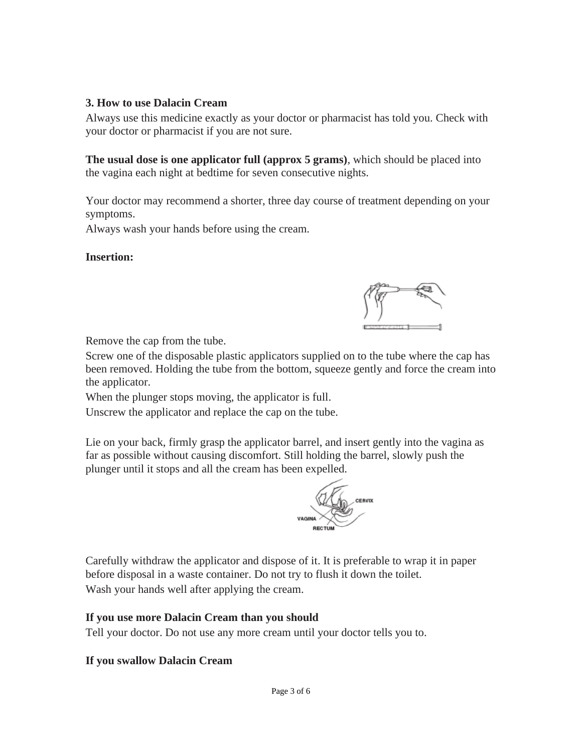### **3. How to use Dalacin Cream**

Always use this medicine exactly as your doctor or pharmacist has told you. Check with your doctor or pharmacist if you are not sure.

**The usual dose is one applicator full (approx 5 grams)**, which should be placed into the vagina each night at bedtime for seven consecutive nights.

Your doctor may recommend a shorter, three day course of treatment depending on your symptoms.

Always wash your hands before using the cream.

### **Insertion:**

Remove the cap from the tube.

Screw one of the disposable plastic applicators supplied on to the tube where the cap has been removed. Holding the tube from the bottom, squeeze gently and force the cream into the applicator.

When the plunger stops moving, the applicator is full.

Unscrew the applicator and replace the cap on the tube.

Lie on your back, firmly grasp the applicator barrel, and insert gently into the vagina as far as possible without causing discomfort. Still holding the barrel, slowly push the plunger until it stops and all the cream has been expelled.



Carefully withdraw the applicator and dispose of it. It is preferable to wrap it in paper before disposal in a waste container. Do not try to flush it down the toilet. Wash your hands well after applying the cream.

# **If you use more Dalacin Cream than you should**

Tell your doctor. Do not use any more cream until your doctor tells you to.

# **If you swallow Dalacin Cream**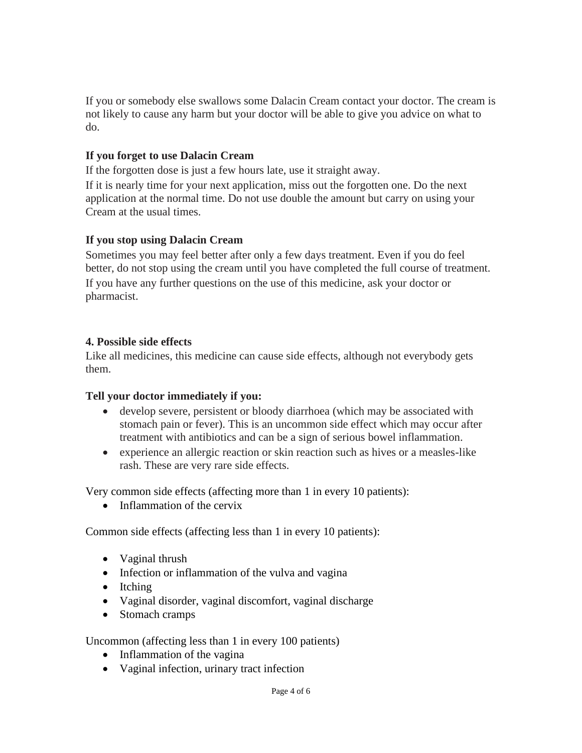If you or somebody else swallows some Dalacin Cream contact your doctor. The cream is not likely to cause any harm but your doctor will be able to give you advice on what to do.

### **If you forget to use Dalacin Cream**

If the forgotten dose is just a few hours late, use it straight away.

If it is nearly time for your next application, miss out the forgotten one. Do the next application at the normal time. Do not use double the amount but carry on using your Cream at the usual times.

### **If you stop using Dalacin Cream**

Sometimes you may feel better after only a few days treatment. Even if you do feel better, do not stop using the cream until you have completed the full course of treatment. If you have any further questions on the use of this medicine, ask your doctor or pharmacist.

### **4. Possible side effects**

Like all medicines, this medicine can cause side effects, although not everybody gets them.

### **Tell your doctor immediately if you:**

- develop severe, persistent or bloody diarrhoea (which may be associated with stomach pain or fever). This is an uncommon side effect which may occur after treatment with antibiotics and can be a sign of serious bowel inflammation.
- experience an allergic reaction or skin reaction such as hives or a measles-like rash. These are very rare side effects.

Very common side effects (affecting more than 1 in every 10 patients):

• Inflammation of the cervix

Common side effects (affecting less than 1 in every 10 patients):

- Vaginal thrush
- Infection or inflammation of the vulva and vagina
- Itching
- Vaginal disorder, vaginal discomfort, vaginal discharge
- Stomach cramps

Uncommon (affecting less than 1 in every 100 patients)

- Inflammation of the vagina
- Vaginal infection, urinary tract infection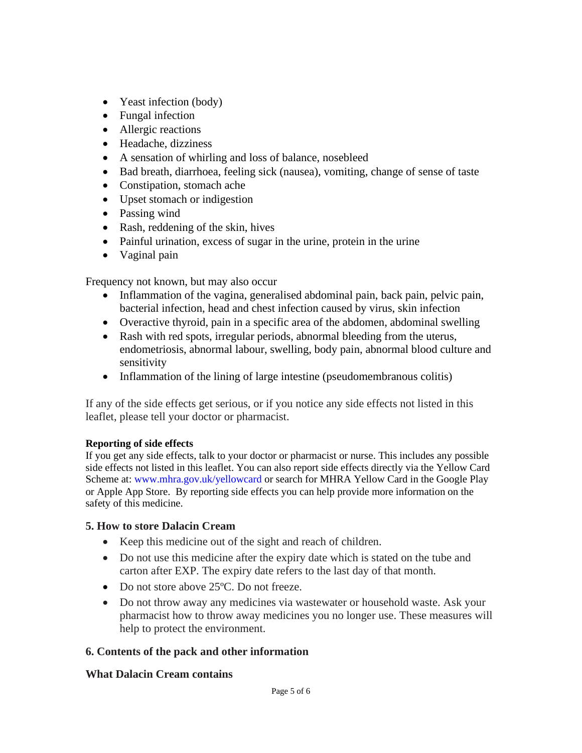- Yeast infection (body)
- Fungal infection
- Allergic reactions
- Headache, dizziness
- A sensation of whirling and loss of balance, nosebleed
- Bad breath, diarrhoea, feeling sick (nausea), vomiting, change of sense of taste
- Constipation, stomach ache
- Upset stomach or indigestion
- Passing wind
- Rash, reddening of the skin, hives
- Painful urination, excess of sugar in the urine, protein in the urine
- Vaginal pain

Frequency not known, but may also occur

- Inflammation of the vagina, generalised abdominal pain, back pain, pelvic pain, bacterial infection, head and chest infection caused by virus, skin infection
- Overactive thyroid, pain in a specific area of the abdomen, abdominal swelling
- Rash with red spots, irregular periods, abnormal bleeding from the uterus, endometriosis, abnormal labour, swelling, body pain, abnormal blood culture and sensitivity
- Inflammation of the lining of large intestine (pseudomembranous colitis)

If any of the side effects get serious, or if you notice any side effects not listed in this leaflet, please tell your doctor or pharmacist.

### **Reporting of side effects**

If you get any side effects, talk to your doctor or pharmacist or nurse. This includes any possible side effects not listed in this leaflet. You can also report side effects directly via the Yellow Card Scheme at: [www.mhra.gov.uk/yellowcard](http://www.mhra.gov.uk/yellowcard) or search for MHRA Yellow Card in the Google Play or Apple App Store. By reporting side effects you can help provide more information on the safety of this medicine.

### **5. How to store Dalacin Cream**

- Keep this medicine out of the sight and reach of children.
- Do not use this medicine after the expiry date which is stated on the tube and carton after EXP. The expiry date refers to the last day of that month.
- Do not store above 25 °C. Do not freeze.
- Do not throw away any medicines via wastewater or household waste. Ask your pharmacist how to throw away medicines you no longer use. These measures will help to protect the environment.

### **6. Contents of the pack and other information**

### **What Dalacin Cream contains**